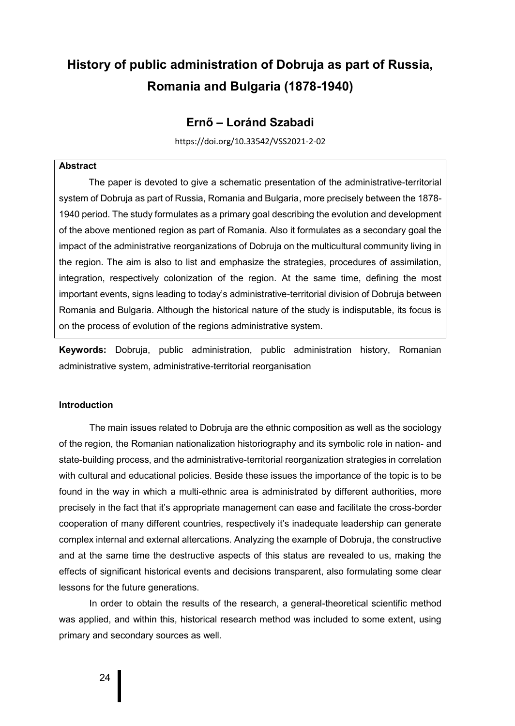# **History of public administration of Dobruja as part of Russia, Romania and Bulgaria (1878-1940)**

## **Ernő – Loránd Szabadi**

https://doi.org/10.33542/VSS2021-2-02

## **Abstract**

The paper is devoted to give a schematic presentation of the administrative-territorial system of Dobruja as part of Russia, Romania and Bulgaria, more precisely between the 1878- 1940 period. The study formulates as a primary goal describing the evolution and development of the above mentioned region as part of Romania. Also it formulates as a secondary goal the impact of the administrative reorganizations of Dobruja on the multicultural community living in the region. The aim is also to list and emphasize the strategies, procedures of assimilation, integration, respectively colonization of the region. At the same time, defining the most important events, signs leading to today's administrative-territorial division of Dobruja between Romania and Bulgaria. Although the historical nature of the study is indisputable, its focus is on the process of evolution of the regions administrative system.

**Keywords:** Dobruja, public administration, public administration history, Romanian administrative system, administrative-territorial reorganisation

#### **Introduction**

The main issues related to Dobruja are the ethnic composition as well as the sociology of the region, the Romanian nationalization historiography and its symbolic role in nation- and state-building process, and the administrative-territorial reorganization strategies in correlation with cultural and educational policies. Beside these issues the importance of the topic is to be found in the way in which a multi-ethnic area is administrated by different authorities, more precisely in the fact that it's appropriate management can ease and facilitate the cross-border cooperation of many different countries, respectively it's inadequate leadership can generate complex internal and external altercations. Analyzing the example of Dobruja, the constructive and at the same time the destructive aspects of this status are revealed to us, making the effects of significant historical events and decisions transparent, also formulating some clear lessons for the future generations.

In order to obtain the results of the research, a general-theoretical scientific method was applied, and within this, historical research method was included to some extent, using primary and secondary sources as well.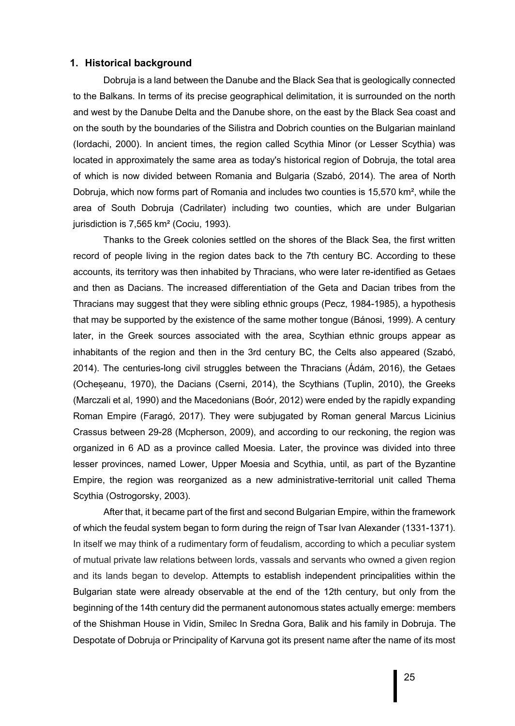#### **1. Historical background**

Dobruja is a land between the Danube and the Black Sea that is geologically connected to the Balkans. In terms of its precise geographical delimitation, it is surrounded on the north and west by the Danube Delta and the Danube shore, on the east by the Black Sea coast and on the south by the boundaries of the Silistra and Dobrich counties on the Bulgarian mainland (Iordachi, 2000). In ancient times, the region called Scythia Minor (or Lesser Scythia) was located in approximately the same area as today's historical region of Dobruja, the total area of which is now divided between Romania and Bulgaria (Szabó, 2014). The area of North Dobruja, which now forms part of Romania and includes two counties is 15,570 km², while the area of South Dobruja (Cadrilater) including two counties, which are under Bulgarian jurisdiction is 7,565 km<sup>2</sup> (Cociu, 1993).

Thanks to the Greek colonies settled on the shores of the Black Sea, the first written record of people living in the region dates back to the 7th century BC. According to these accounts, its territory was then inhabited by Thracians, who were later re-identified as Getaes and then as Dacians. The increased differentiation of the Geta and Dacian tribes from the Thracians may suggest that they were sibling ethnic groups (Pecz, 1984-1985), a hypothesis that may be supported by the existence of the same mother tongue (Bánosi, 1999). A century later, in the Greek sources associated with the area, Scythian ethnic groups appear as inhabitants of the region and then in the 3rd century BC, the Celts also appeared (Szabó, 2014). The centuries-long civil struggles between the Thracians (Ádám, 2016), the Getaes (Ocheșeanu, 1970), the Dacians (Cserni, 2014), the Scythians (Tuplin, 2010), the Greeks (Marczali et al, 1990) and the Macedonians (Boór, 2012) were ended by the rapidly expanding Roman Empire (Faragó, 2017). They were subjugated by Roman general Marcus Licinius Crassus between 29-28 (Mcpherson, 2009), and according to our reckoning, the region was organized in 6 AD as a province called Moesia. Later, the province was divided into three lesser provinces, named Lower, Upper Moesia and Scythia, until, as part of the Byzantine Empire, the region was reorganized as a new administrative-territorial unit called Thema Scythia (Ostrogorsky, 2003).

After that, it became part of the first and second Bulgarian Empire, within the framework of which the feudal system began to form during the reign of Tsar Ivan Alexander (1331-1371). In itself we may think of a rudimentary form of feudalism, according to which a peculiar system of mutual private law relations between lords, vassals and servants who owned a given region and its lands began to develop. Attempts to establish independent principalities within the Bulgarian state were already observable at the end of the 12th century, but only from the beginning of the 14th century did the permanent autonomous states actually emerge: members of the Shishman House in Vidin, Smilec In Sredna Gora, Balik and his family in Dobruja. The Despotate of Dobruja or Principality of Karvuna got its present name after the name of its most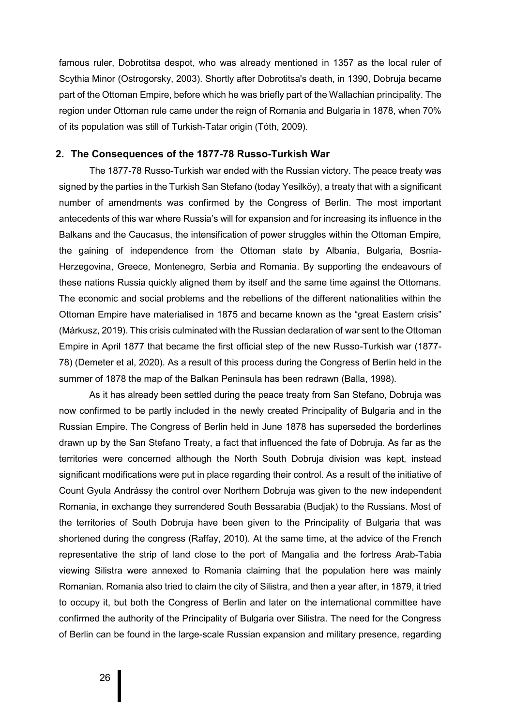famous ruler, Dobrotitsa despot, who was already mentioned in 1357 as the local ruler of Scythia Minor (Ostrogorsky, 2003). Shortly after Dobrotitsa's death, in 1390, Dobruja became part of the Ottoman Empire, before which he was briefly part of the Wallachian principality. The region under Ottoman rule came under the reign of Romania and Bulgaria in 1878, when 70% of its population was still of Turkish-Tatar origin (Tóth, 2009).

#### **2. The Consequences of the 1877-78 Russo-Turkish War**

The 1877-78 Russo-Turkish war ended with the Russian victory. The peace treaty was signed by the parties in the Turkish San Stefano (today Yesilköy), a treaty that with a significant number of amendments was confirmed by the Congress of Berlin. The most important antecedents of this war where Russia's will for expansion and for increasing its influence in the Balkans and the Caucasus, the intensification of power struggles within the Ottoman Empire, the gaining of independence from the Ottoman state by Albania, Bulgaria, Bosnia-Herzegovina, Greece, Montenegro, Serbia and Romania. By supporting the endeavours of these nations Russia quickly aligned them by itself and the same time against the Ottomans. The economic and social problems and the rebellions of the different nationalities within the Ottoman Empire have materialised in 1875 and became known as the "great Eastern crisis" (Márkusz, 2019). This crisis culminated with the Russian declaration of war sent to the Ottoman Empire in April 1877 that became the first official step of the new Russo-Turkish war (1877- 78) (Demeter et al, 2020). As a result of this process during the Congress of Berlin held in the summer of 1878 the map of the Balkan Peninsula has been redrawn (Balla, 1998).

As it has already been settled during the peace treaty from San Stefano, Dobruja was now confirmed to be partly included in the newly created Principality of Bulgaria and in the Russian Empire. The Congress of Berlin held in June 1878 has superseded the borderlines drawn up by the San Stefano Treaty, a fact that influenced the fate of Dobruja. As far as the territories were concerned although the North South Dobruja division was kept, instead significant modifications were put in place regarding their control. As a result of the initiative of Count Gyula Andrássy the control over Northern Dobruja was given to the new independent Romania, in exchange they surrendered South Bessarabia (Budjak) to the Russians. Most of the territories of South Dobruja have been given to the Principality of Bulgaria that was shortened during the congress (Raffay, 2010). At the same time, at the advice of the French representative the strip of land close to the port of Mangalia and the fortress Arab-Tabia viewing Silistra were annexed to Romania claiming that the population here was mainly Romanian. Romania also tried to claim the city of Silistra, and then a year after, in 1879, it tried to occupy it, but both the Congress of Berlin and later on the international committee have confirmed the authority of the Principality of Bulgaria over Silistra. The need for the Congress of Berlin can be found in the large-scale Russian expansion and military presence, regarding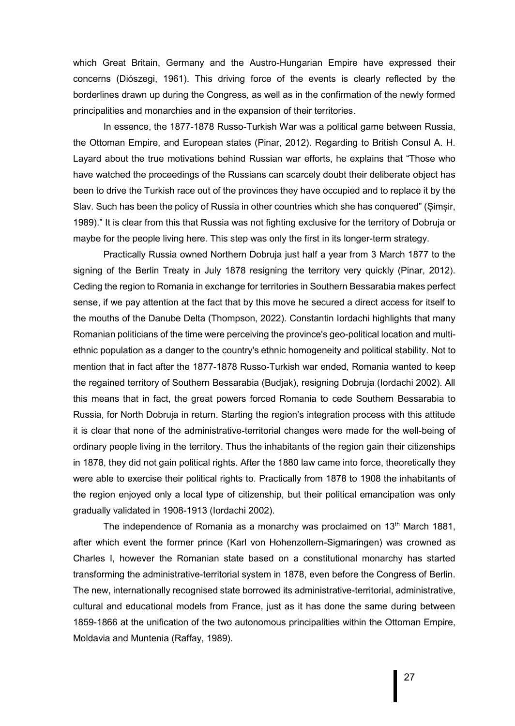which Great Britain, Germany and the Austro-Hungarian Empire have expressed their concerns (Diószegi, 1961). This driving force of the events is clearly reflected by the borderlines drawn up during the Congress, as well as in the confirmation of the newly formed principalities and monarchies and in the expansion of their territories.

In essence, the 1877-1878 Russo-Turkish War was a political game between Russia, the Ottoman Empire, and European states (Pinar, 2012). Regarding to British Consul A. H. Layard about the true motivations behind Russian war efforts, he explains that "Those who have watched the proceedings of the Russians can scarcely doubt their deliberate object has been to drive the Turkish race out of the provinces they have occupied and to replace it by the Slav. Such has been the policy of Russia in other countries which she has conquered" (Șimșir, 1989)." It is clear from this that Russia was not fighting exclusive for the territory of Dobruja or maybe for the people living here. This step was only the first in its longer-term strategy.

Practically Russia owned Northern Dobruja just half a year from 3 March 1877 to the signing of the Berlin Treaty in July 1878 resigning the territory very quickly (Pinar, 2012). Ceding the region to Romania in exchange for territories in Southern Bessarabia makes perfect sense, if we pay attention at the fact that by this move he secured a direct access for itself to the mouths of the Danube Delta (Thompson, 2022). Constantin Iordachi highlights that many Romanian politicians of the time were perceiving the province's geo-political location and multiethnic population as a danger to the country's ethnic homogeneity and political stability. Not to mention that in fact after the 1877-1878 Russo-Turkish war ended, Romania wanted to keep the regained territory of Southern Bessarabia (Budjak), resigning Dobruja (Iordachi 2002). All this means that in fact, the great powers forced Romania to cede Southern Bessarabia to Russia, for North Dobruja in return. Starting the region's integration process with this attitude it is clear that none of the administrative-territorial changes were made for the well-being of ordinary people living in the territory. Thus the inhabitants of the region gain their citizenships in 1878, they did not gain political rights. After the 1880 law came into force, theoretically they were able to exercise their political rights to. Practically from 1878 to 1908 the inhabitants of the region enjoyed only a local type of citizenship, but their political emancipation was only gradually validated in 1908-1913 (Iordachi 2002).

The independence of Romania as a monarchy was proclaimed on  $13<sup>th</sup>$  March 1881, after which event the former prince (Karl von Hohenzollern-Sigmaringen) was crowned as Charles I, however the Romanian state based on a constitutional monarchy has started transforming the administrative-territorial system in 1878, even before the Congress of Berlin. The new, internationally recognised state borrowed its administrative-territorial, administrative, cultural and educational models from France, just as it has done the same during between 1859-1866 at the unification of the two autonomous principalities within the Ottoman Empire, Moldavia and Muntenia (Raffay, 1989).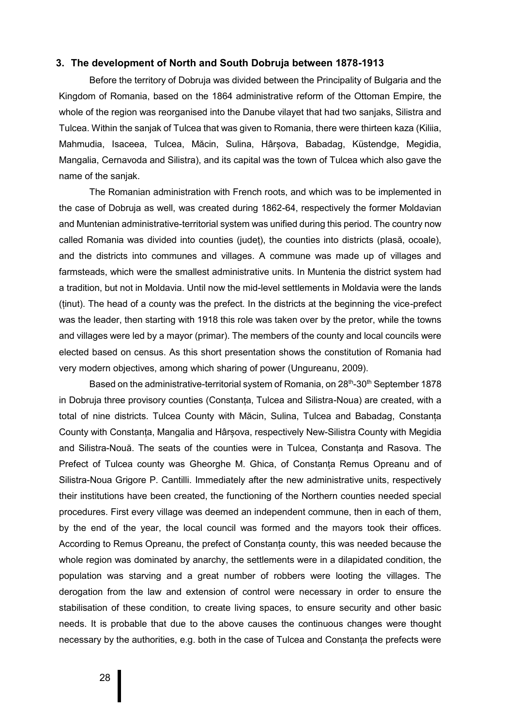### **3. The development of North and South Dobruja between 1878-1913**

Before the territory of Dobruja was divided between the Principality of Bulgaria and the Kingdom of Romania, based on the 1864 administrative reform of the Ottoman Empire, the whole of the region was reorganised into the Danube vilayet that had two sanjaks, Silistra and Tulcea. Within the sanjak of Tulcea that was given to Romania, there were thirteen kaza (Kiliia, Mahmudia, Isaceea, Tulcea, Măcin, Sulina, Hârșova, Babadag, Küstendge, Megidia, Mangalia, Cernavoda and Silistra), and its capital was the town of Tulcea which also gave the name of the sanjak.

The Romanian administration with French roots, and which was to be implemented in the case of Dobruja as well, was created during 1862-64, respectively the former Moldavian and Muntenian administrative-territorial system was unified during this period. The country now called Romania was divided into counties (județ), the counties into districts (plasă, ocoale), and the districts into communes and villages. A commune was made up of villages and farmsteads, which were the smallest administrative units. In Muntenia the district system had a tradition, but not in Moldavia. Until now the mid-level settlements in Moldavia were the lands (ținut). The head of a county was the prefect. In the districts at the beginning the vice-prefect was the leader, then starting with 1918 this role was taken over by the pretor, while the towns and villages were led by a mayor (primar). The members of the county and local councils were elected based on census. As this short presentation shows the constitution of Romania had very modern objectives, among which sharing of power (Ungureanu, 2009).

Based on the administrative-territorial system of Romania, on 28<sup>th</sup>-30<sup>th</sup> September 1878 in Dobruja three provisory counties (Constanța, Tulcea and Silistra-Noua) are created, with a total of nine districts. Tulcea County with Măcin, Sulina, Tulcea and Babadag, Constanța County with Constanța, Mangalia and Hârșova, respectively New-Silistra County with Megidia and Silistra-Nouă. The seats of the counties were in Tulcea, Constanța and Rasova. The Prefect of Tulcea county was Gheorghe M. Ghica, of Constanța Remus Opreanu and of Silistra-Noua Grigore P. Cantilli. Immediately after the new administrative units, respectively their institutions have been created, the functioning of the Northern counties needed special procedures. First every village was deemed an independent commune, then in each of them, by the end of the year, the local council was formed and the mayors took their offices. According to Remus Opreanu, the prefect of Constanța county, this was needed because the whole region was dominated by anarchy, the settlements were in a dilapidated condition, the population was starving and a great number of robbers were looting the villages. The derogation from the law and extension of control were necessary in order to ensure the stabilisation of these condition, to create living spaces, to ensure security and other basic needs. It is probable that due to the above causes the continuous changes were thought necessary by the authorities, e.g. both in the case of Tulcea and Constanța the prefects were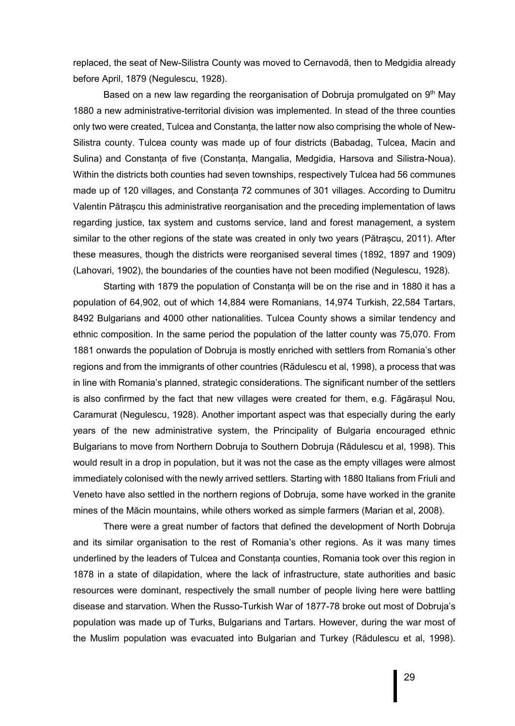replaced, the seat of New-Silistra County was moved to Cernavodă, then to Medgidia already before April, 1879 (Negulescu, 1928).

Based on a new law regarding the reorganisation of Dobruja promulgated on  $9<sup>th</sup>$  May 1880 a new administrative-territorial division was implemented. In stead of the three counties only two were created, Tulcea and Constanța, the latter now also comprising the whole of New-Silistra county. Tulcea county was made up of four districts (Babadag, Tulcea, Macin and Sulina) and Constanța of five (Constanța, Mangalia, Medgidia, Harsova and Silistra-Noua). Within the districts both counties had seven townships, respectively Tulcea had 56 communes made up of 120 villages, and Constanța 72 communes of 301 villages. According to Dumitru Valentin Pătrașcu this administrative reorganisation and the preceding implementation of laws regarding justice, tax system and customs service, land and forest management, a system similar to the other regions of the state was created in only two years (Pătrașcu, 2011). After these measures, though the districts were reorganised several times (1892, 1897 and 1909) (Lahovari, 1902), the boundaries of the counties have not been modified (Negulescu, 1928).

Starting with 1879 the population of Constanța will be on the rise and in 1880 it has a population of 64,902, out of which 14,884 were Romanians, 14,974 Turkish, 22,584 Tartars, 8492 Bulgarians and 4000 other nationalities. Tulcea County shows a similar tendency and ethnic composition. In the same period the population of the latter county was 75,070. From 1881 onwards the population of Dobruja is mostly enriched with settlers from Romania's other regions and from the immigrants of other countries (Rădulescu et al, 1998), a process that was in line with Romania's planned, strategic considerations. The significant number of the settlers is also confirmed by the fact that new villages were created for them, e.g. Făgărașul Nou, Caramurat (Negulescu, 1928). Another important aspect was that especially during the early years of the new administrative system, the Principality of Bulgaria encouraged ethnic Bulgarians to move from Northern Dobruja to Southern Dobruja (Rădulescu et al, 1998). This would result in a drop in population, but it was not the case as the empty villages were almost immediately colonised with the newly arrived settlers. Starting with 1880 Italians from Friuli and Veneto have also settled in the northern regions of Dobruja, some have worked in the granite mines of the Măcin mountains, while others worked as simple farmers (Marian et al, 2008).

There were a great number of factors that defined the development of North Dobruja and its similar organisation to the rest of Romania's other regions. As it was many times underlined by the leaders of Tulcea and Constanța counties, Romania took over this region in 1878 in a state of dilapidation, where the lack of infrastructure, state authorities and basic resources were dominant, respectively the small number of people living here were battling disease and starvation. When the Russo-Turkish War of 1877-78 broke out most of Dobruja's population was made up of Turks, Bulgarians and Tartars. However, during the war most of the Muslim population was evacuated into Bulgarian and Turkey (Rădulescu et al, 1998).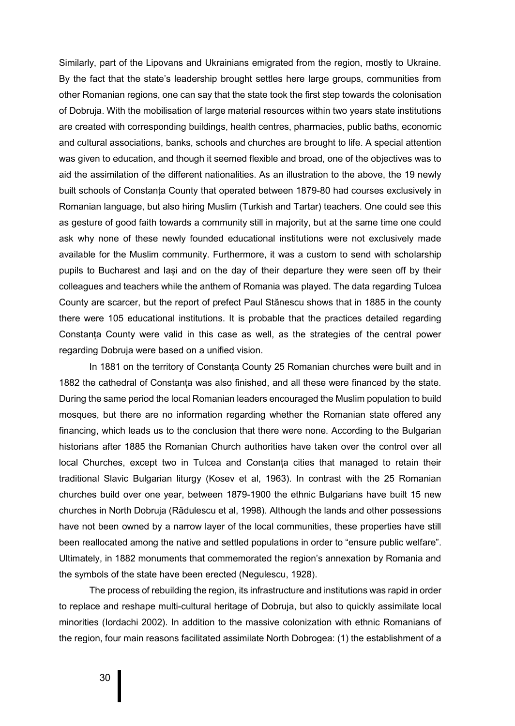Similarly, part of the Lipovans and Ukrainians emigrated from the region, mostly to Ukraine. By the fact that the state's leadership brought settles here large groups, communities from other Romanian regions, one can say that the state took the first step towards the colonisation of Dobruja. With the mobilisation of large material resources within two years state institutions are created with corresponding buildings, health centres, pharmacies, public baths, economic and cultural associations, banks, schools and churches are brought to life. A special attention was given to education, and though it seemed flexible and broad, one of the objectives was to aid the assimilation of the different nationalities. As an illustration to the above, the 19 newly built schools of Constanța County that operated between 1879-80 had courses exclusively in Romanian language, but also hiring Muslim (Turkish and Tartar) teachers. One could see this as gesture of good faith towards a community still in majority, but at the same time one could ask why none of these newly founded educational institutions were not exclusively made available for the Muslim community. Furthermore, it was a custom to send with scholarship pupils to Bucharest and Iași and on the day of their departure they were seen off by their colleagues and teachers while the anthem of Romania was played. The data regarding Tulcea County are scarcer, but the report of prefect Paul Stănescu shows that in 1885 in the county there were 105 educational institutions. It is probable that the practices detailed regarding Constanța County were valid in this case as well, as the strategies of the central power regarding Dobruja were based on a unified vision.

In 1881 on the territory of Constanța County 25 Romanian churches were built and in 1882 the cathedral of Constanța was also finished, and all these were financed by the state. During the same period the local Romanian leaders encouraged the Muslim population to build mosques, but there are no information regarding whether the Romanian state offered any financing, which leads us to the conclusion that there were none. According to the Bulgarian historians after 1885 the Romanian Church authorities have taken over the control over all local Churches, except two in Tulcea and Constanța cities that managed to retain their traditional Slavic Bulgarian liturgy (Kosev et al, 1963). In contrast with the 25 Romanian churches build over one year, between 1879-1900 the ethnic Bulgarians have built 15 new churches in North Dobruja (Rădulescu et al, 1998). Although the lands and other possessions have not been owned by a narrow layer of the local communities, these properties have still been reallocated among the native and settled populations in order to "ensure public welfare". Ultimately, in 1882 monuments that commemorated the region's annexation by Romania and the symbols of the state have been erected (Negulescu, 1928).

The process of rebuilding the region, its infrastructure and institutions was rapid in order to replace and reshape multi-cultural heritage of Dobruja, but also to quickly assimilate local minorities (Iordachi 2002). In addition to the massive colonization with ethnic Romanians of the region, four main reasons facilitated assimilate North Dobrogea: (1) the establishment of a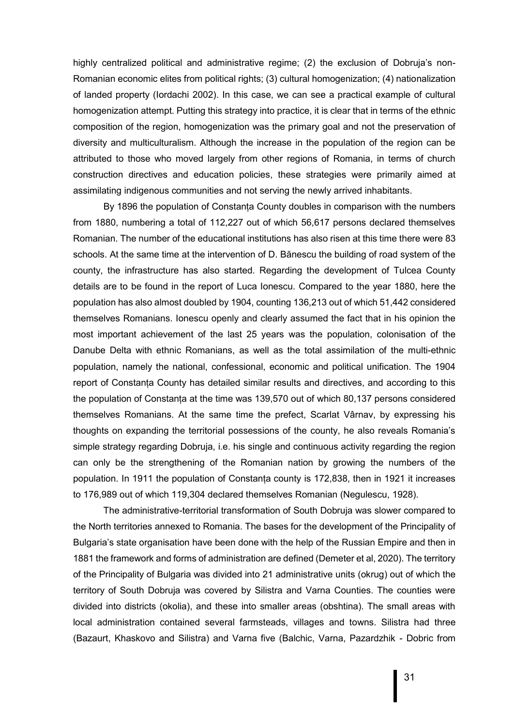highly centralized political and administrative regime; (2) the exclusion of Dobruja's non-Romanian economic elites from political rights; (3) cultural homogenization; (4) nationalization of landed property (Iordachi 2002). In this case, we can see a practical example of cultural homogenization attempt. Putting this strategy into practice, it is clear that in terms of the ethnic composition of the region, homogenization was the primary goal and not the preservation of diversity and multiculturalism. Although the increase in the population of the region can be attributed to those who moved largely from other regions of Romania, in terms of church construction directives and education policies, these strategies were primarily aimed at assimilating indigenous communities and not serving the newly arrived inhabitants.

By 1896 the population of Constanța County doubles in comparison with the numbers from 1880, numbering a total of 112,227 out of which 56,617 persons declared themselves Romanian. The number of the educational institutions has also risen at this time there were 83 schools. At the same time at the intervention of D. Bănescu the building of road system of the county, the infrastructure has also started. Regarding the development of Tulcea County details are to be found in the report of Luca Ionescu. Compared to the year 1880, here the population has also almost doubled by 1904, counting 136,213 out of which 51,442 considered themselves Romanians. Ionescu openly and clearly assumed the fact that in his opinion the most important achievement of the last 25 years was the population, colonisation of the Danube Delta with ethnic Romanians, as well as the total assimilation of the multi-ethnic population, namely the national, confessional, economic and political unification. The 1904 report of Constanța County has detailed similar results and directives, and according to this the population of Constanța at the time was 139,570 out of which 80,137 persons considered themselves Romanians. At the same time the prefect, Scarlat Vârnav, by expressing his thoughts on expanding the territorial possessions of the county, he also reveals Romania's simple strategy regarding Dobruja, i.e. his single and continuous activity regarding the region can only be the strengthening of the Romanian nation by growing the numbers of the population. In 1911 the population of Constanța county is 172,838, then in 1921 it increases to 176,989 out of which 119,304 declared themselves Romanian (Negulescu, 1928).

The administrative-territorial transformation of South Dobruja was slower compared to the North territories annexed to Romania. The bases for the development of the Principality of Bulgaria's state organisation have been done with the help of the Russian Empire and then in 1881 the framework and forms of administration are defined (Demeter et al, 2020). The territory of the Principality of Bulgaria was divided into 21 administrative units (okrug) out of which the territory of South Dobruja was covered by Silistra and Varna Counties. The counties were divided into districts (okolia), and these into smaller areas (obshtina). The small areas with local administration contained several farmsteads, villages and towns. Silistra had three (Bazaurt, Khaskovo and Silistra) and Varna five (Balchic, Varna, Pazardzhik - Dobric from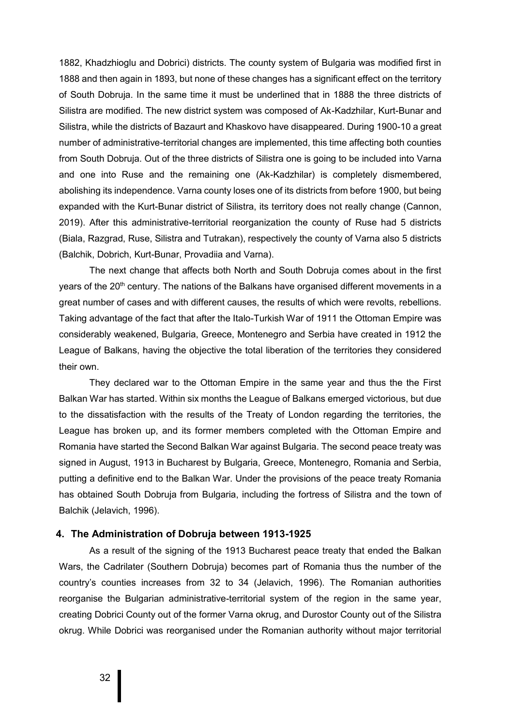1882, Khadzhioglu and Dobrici) districts. The county system of Bulgaria was modified first in 1888 and then again in 1893, but none of these changes has a significant effect on the territory of South Dobruja. In the same time it must be underlined that in 1888 the three districts of Silistra are modified. The new district system was composed of Ak-Kadzhilar, Kurt-Bunar and Silistra, while the districts of Bazaurt and Khaskovo have disappeared. During 1900-10 a great number of administrative-territorial changes are implemented, this time affecting both counties from South Dobruja. Out of the three districts of Silistra one is going to be included into Varna and one into Ruse and the remaining one (Ak-Kadzhilar) is completely dismembered, abolishing its independence. Varna county loses one of its districts from before 1900, but being expanded with the Kurt-Bunar district of Silistra, its territory does not really change (Cannon, 2019). After this administrative-territorial reorganization the county of Ruse had 5 districts (Biala, Razgrad, Ruse, Silistra and Tutrakan), respectively the county of Varna also 5 districts (Balchik, Dobrich, Kurt-Bunar, Provadiia and Varna).

The next change that affects both North and South Dobruja comes about in the first years of the 20<sup>th</sup> century. The nations of the Balkans have organised different movements in a great number of cases and with different causes, the results of which were revolts, rebellions. Taking advantage of the fact that after the Italo-Turkish War of 1911 the Ottoman Empire was considerably weakened, Bulgaria, Greece, Montenegro and Serbia have created in 1912 the League of Balkans, having the objective the total liberation of the territories they considered their own.

They declared war to the Ottoman Empire in the same year and thus the the First Balkan War has started. Within six months the League of Balkans emerged victorious, but due to the dissatisfaction with the results of the Treaty of London regarding the territories, the League has broken up, and its former members completed with the Ottoman Empire and Romania have started the Second Balkan War against Bulgaria. The second peace treaty was signed in August, 1913 in Bucharest by Bulgaria, Greece, Montenegro, Romania and Serbia, putting a definitive end to the Balkan War. Under the provisions of the peace treaty Romania has obtained South Dobruja from Bulgaria, including the fortress of Silistra and the town of Balchik (Jelavich, 1996).

#### **4. The Administration of Dobruja between 1913-1925**

As a result of the signing of the 1913 Bucharest peace treaty that ended the Balkan Wars, the Cadrilater (Southern Dobruja) becomes part of Romania thus the number of the country's counties increases from 32 to 34 (Jelavich, 1996). The Romanian authorities reorganise the Bulgarian administrative-territorial system of the region in the same year, creating Dobrici County out of the former Varna okrug, and Durostor County out of the Silistra okrug. While Dobrici was reorganised under the Romanian authority without major territorial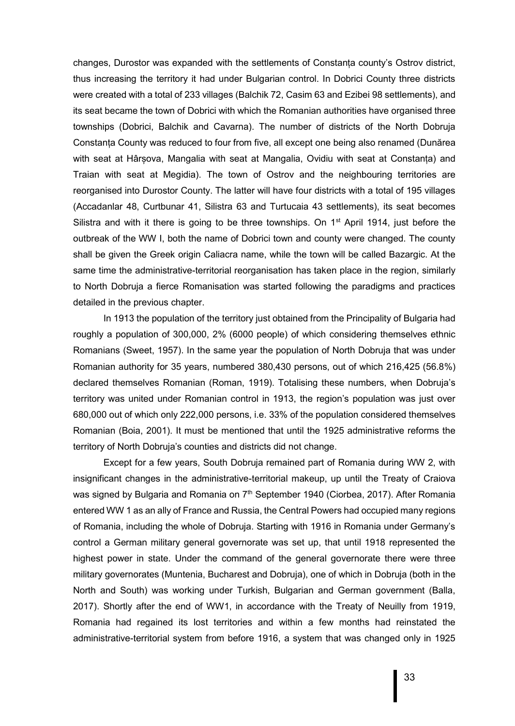changes, Durostor was expanded with the settlements of Constanța county's Ostrov district, thus increasing the territory it had under Bulgarian control. In Dobrici County three districts were created with a total of 233 villages (Balchik 72, Casim 63 and Ezibei 98 settlements), and its seat became the town of Dobrici with which the Romanian authorities have organised three townships (Dobrici, Balchik and Cavarna). The number of districts of the North Dobruja Constanța County was reduced to four from five, all except one being also renamed (Dunărea with seat at Hârșova, Mangalia with seat at Mangalia, Ovidiu with seat at Constanța) and Traian with seat at Megidia). The town of Ostrov and the neighbouring territories are reorganised into Durostor County. The latter will have four districts with a total of 195 villages (Accadanlar 48, Curtbunar 41, Silistra 63 and Turtucaia 43 settlements), its seat becomes Silistra and with it there is going to be three townships. On  $1<sup>st</sup>$  April 1914, just before the outbreak of the WW I, both the name of Dobrici town and county were changed. The county shall be given the Greek origin Caliacra name, while the town will be called Bazargic. At the same time the administrative-territorial reorganisation has taken place in the region, similarly to North Dobruja a fierce Romanisation was started following the paradigms and practices detailed in the previous chapter.

In 1913 the population of the territory just obtained from the Principality of Bulgaria had roughly a population of 300,000, 2% (6000 people) of which considering themselves ethnic Romanians (Sweet, 1957). In the same year the population of North Dobruja that was under Romanian authority for 35 years, numbered 380,430 persons, out of which 216,425 (56.8%) declared themselves Romanian (Roman, 1919). Totalising these numbers, when Dobruja's territory was united under Romanian control in 1913, the region's population was just over 680,000 out of which only 222,000 persons, i.e. 33% of the population considered themselves Romanian (Boia, 2001). It must be mentioned that until the 1925 administrative reforms the territory of North Dobruja's counties and districts did not change.

Except for a few years, South Dobruja remained part of Romania during WW 2, with insignificant changes in the administrative-territorial makeup, up until the Treaty of Craiova was signed by Bulgaria and Romania on  $7<sup>th</sup>$  September 1940 (Ciorbea, 2017). After Romania entered WW 1 as an ally of France and Russia, the Central Powers had occupied many regions of Romania, including the whole of Dobruja. Starting with 1916 in Romania under Germany's control a German military general governorate was set up, that until 1918 represented the highest power in state. Under the command of the general governorate there were three military governorates (Muntenia, Bucharest and Dobruja), one of which in Dobruja (both in the North and South) was working under Turkish, Bulgarian and German government (Balla, 2017). Shortly after the end of WW1, in accordance with the Treaty of Neuilly from 1919, Romania had regained its lost territories and within a few months had reinstated the administrative-territorial system from before 1916, a system that was changed only in 1925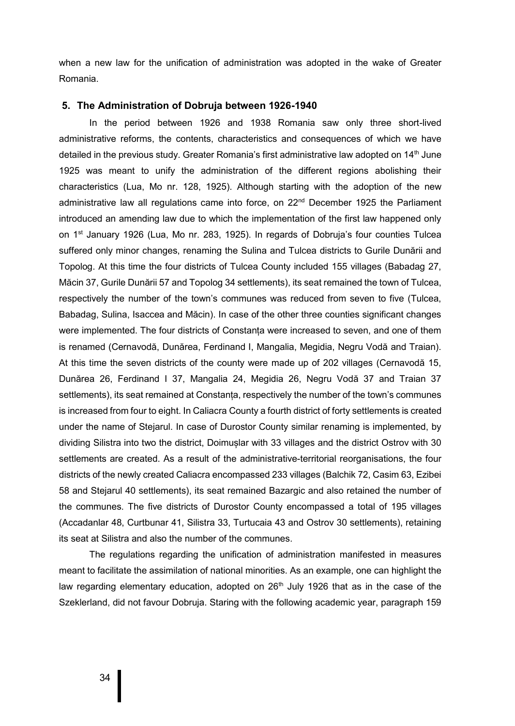when a new law for the unification of administration was adopted in the wake of Greater Romania.

#### **5. The Administration of Dobruja between 1926-1940**

In the period between 1926 and 1938 Romania saw only three short-lived administrative reforms, the contents, characteristics and consequences of which we have detailed in the previous study. Greater Romania's first administrative law adopted on  $14<sup>th</sup>$  June 1925 was meant to unify the administration of the different regions abolishing their characteristics (Lua, Mo nr. 128, 1925). Although starting with the adoption of the new administrative law all regulations came into force, on 22<sup>nd</sup> December 1925 the Parliament introduced an amending law due to which the implementation of the first law happened only on 1<sup>st</sup> January 1926 (Lua, Mo nr. 283, 1925). In regards of Dobruja's four counties Tulcea suffered only minor changes, renaming the Sulina and Tulcea districts to Gurile Dunării and Topolog. At this time the four districts of Tulcea County included 155 villages (Babadag 27, Măcin 37, Gurile Dunării 57 and Topolog 34 settlements), its seat remained the town of Tulcea, respectively the number of the town's communes was reduced from seven to five (Tulcea, Babadag, Sulina, Isaccea and Măcin). In case of the other three counties significant changes were implemented. The four districts of Constanța were increased to seven, and one of them is renamed (Cernavodă, Dunărea, Ferdinand I, Mangalia, Megidia, Negru Vodă and Traian). At this time the seven districts of the county were made up of 202 villages (Cernavodă 15, Dunărea 26, Ferdinand I 37, Mangalia 24, Megidia 26, Negru Vodă 37 and Traian 37 settlements), its seat remained at Constanța, respectively the number of the town's communes is increased from four to eight. In Caliacra County a fourth district of forty settlements is created under the name of Stejarul. In case of Durostor County similar renaming is implemented, by dividing Silistra into two the district, Doimușlar with 33 villages and the district Ostrov with 30 settlements are created. As a result of the administrative-territorial reorganisations, the four districts of the newly created Caliacra encompassed 233 villages (Balchik 72, Casim 63, Ezibei 58 and Stejarul 40 settlements), its seat remained Bazargic and also retained the number of the communes. The five districts of Durostor County encompassed a total of 195 villages (Accadanlar 48, Curtbunar 41, Silistra 33, Turtucaia 43 and Ostrov 30 settlements), retaining its seat at Silistra and also the number of the communes.

The regulations regarding the unification of administration manifested in measures meant to facilitate the assimilation of national minorities. As an example, one can highlight the law regarding elementary education, adopted on  $26<sup>th</sup>$  July 1926 that as in the case of the Szeklerland, did not favour Dobruja. Staring with the following academic year, paragraph 159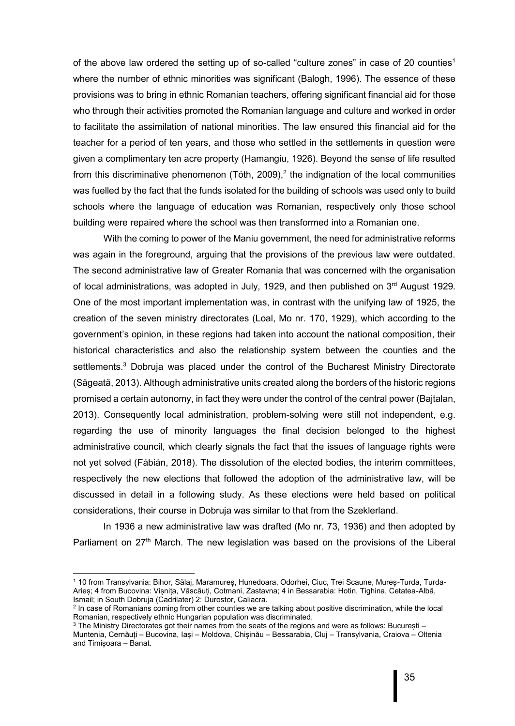of the above law ordered the setting up of so-called "culture zones" in case of 20 counties<sup>1</sup> where the number of ethnic minorities was significant (Balogh, 1996). The essence of these provisions was to bring in ethnic Romanian teachers, offering significant financial aid for those who through their activities promoted the Romanian language and culture and worked in order to facilitate the assimilation of national minorities. The law ensured this financial aid for the teacher for a period of ten years, and those who settled in the settlements in question were given a complimentary ten acre property (Hamangiu, 1926). Beyond the sense of life resulted from this discriminative phenomenon (Tóth, 2009),<sup>2</sup> the indignation of the local communities was fuelled by the fact that the funds isolated for the building of schools was used only to build schools where the language of education was Romanian, respectively only those school building were repaired where the school was then transformed into a Romanian one.

With the coming to power of the Maniu government, the need for administrative reforms was again in the foreground, arguing that the provisions of the previous law were outdated. The second administrative law of Greater Romania that was concerned with the organisation of local administrations, was adopted in July, 1929, and then published on  $3<sup>rd</sup>$  August 1929. One of the most important implementation was, in contrast with the unifying law of 1925, the creation of the seven ministry directorates (Loal, Mo nr. 170, 1929), which according to the government's opinion, in these regions had taken into account the national composition, their historical characteristics and also the relationship system between the counties and the settlements.<sup>3</sup> Dobruja was placed under the control of the Bucharest Ministry Directorate (Săgeată, 2013). Although administrative units created along the borders of the historic regions promised a certain autonomy, in fact they were under the control of the central power (Bajtalan, 2013). Consequently local administration, problem-solving were still not independent, e.g. regarding the use of minority languages the final decision belonged to the highest administrative council, which clearly signals the fact that the issues of language rights were not yet solved (Fábián, 2018). The dissolution of the elected bodies, the interim committees, respectively the new elections that followed the adoption of the administrative law, will be discussed in detail in a following study. As these elections were held based on political considerations, their course in Dobruja was similar to that from the Szeklerland.

In 1936 a new administrative law was drafted (Mo nr. 73, 1936) and then adopted by Parliament on  $27<sup>th</sup>$  March. The new legislation was based on the provisions of the Liberal

1

<sup>1</sup> 10 from Transylvania: Bihor, Sălaj, Maramureș, Hunedoara, Odorhei, Ciuc, Trei Scaune, Mureș-Turda, Turda-Arieș; 4 from Bucovina: Vișnița, Văscăuți, Cotmani, Zastavna; 4 in Bessarabia: Hotin, Tighina, Cetatea-Albă, Ismail; in South Dobruja (Cadrilater) 2: Durostor, Caliacra.

<sup>2</sup> In case of Romanians coming from other counties we are talking about positive discrimination, while the local Romanian, respectively ethnic Hungarian population was discriminated.

<sup>3</sup> The Ministry Directorates got their names from the seats of the regions and were as follows: București – Muntenia, Cernăuți – Bucovina, Iași – Moldova, Chișinău – Bessarabia, Cluj – Transylvania, Craiova – Oltenia and Timișoara – Banat.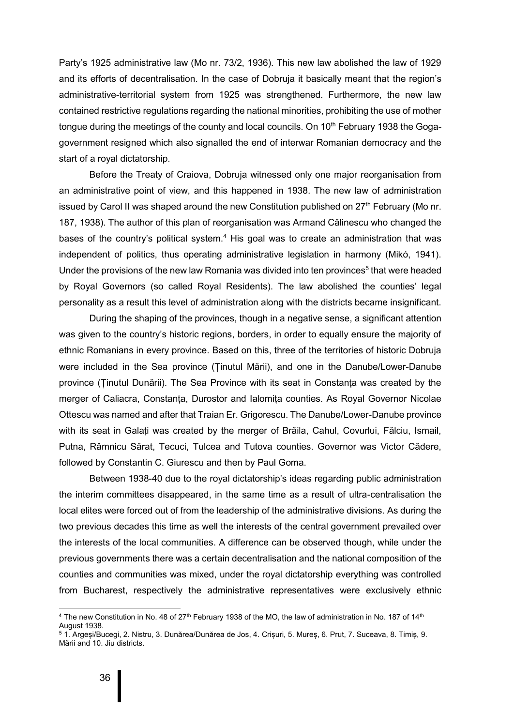Party's 1925 administrative law (Mo nr. 73/2, 1936). This new law abolished the law of 1929 and its efforts of decentralisation. In the case of Dobruja it basically meant that the region's administrative-territorial system from 1925 was strengthened. Furthermore, the new law contained restrictive regulations regarding the national minorities, prohibiting the use of mother tongue during the meetings of the county and local councils. On  $10<sup>th</sup>$  February 1938 the Gogagovernment resigned which also signalled the end of interwar Romanian democracy and the start of a royal dictatorship.

Before the Treaty of Craiova, Dobruja witnessed only one major reorganisation from an administrative point of view, and this happened in 1938. The new law of administration issued by Carol II was shaped around the new Constitution published on  $27<sup>th</sup>$  February (Mo nr. 187, 1938). The author of this plan of reorganisation was Armand Călinescu who changed the bases of the country's political system.<sup>4</sup> His goal was to create an administration that was independent of politics, thus operating administrative legislation in harmony (Mikó, 1941). Under the provisions of the new law Romania was divided into ten provinces<sup>5</sup> that were headed by Royal Governors (so called Royal Residents). The law abolished the counties' legal personality as a result this level of administration along with the districts became insignificant.

During the shaping of the provinces, though in a negative sense, a significant attention was given to the country's historic regions, borders, in order to equally ensure the majority of ethnic Romanians in every province. Based on this, three of the territories of historic Dobruja were included in the Sea province (Ținutul Mării), and one in the Danube/Lower-Danube province (Ținutul Dunării). The Sea Province with its seat in Constanța was created by the merger of Caliacra, Constanța, Durostor and Ialomița counties. As Royal Governor Nicolae Ottescu was named and after that Traian Er. Grigorescu. The Danube/Lower-Danube province with its seat in Galați was created by the merger of Brăila, Cahul, Covurlui, Fălciu, Ismail, Putna, Râmnicu Sărat, Tecuci, Tulcea and Tutova counties. Governor was Victor Cădere, followed by Constantin C. Giurescu and then by Paul Goma.

Between 1938-40 due to the royal dictatorship's ideas regarding public administration the interim committees disappeared, in the same time as a result of ultra-centralisation the local elites were forced out of from the leadership of the administrative divisions. As during the two previous decades this time as well the interests of the central government prevailed over the interests of the local communities. A difference can be observed though, while under the previous governments there was a certain decentralisation and the national composition of the counties and communities was mixed, under the royal dictatorship everything was controlled from Bucharest, respectively the administrative representatives were exclusively ethnic

 $\overline{a}$ 

<sup>&</sup>lt;sup>4</sup> The new Constitution in No. 48 of 27<sup>th</sup> February 1938 of the MO, the law of administration in No. 187 of 14<sup>th</sup> August 1938.

<sup>5</sup> 1. Argeși/Bucegi, 2. Nistru, 3. Dunărea/Dunărea de Jos, 4. Crișuri, 5. Mureș, 6. Prut, 7. Suceava, 8. Timiș, 9. Mării and 10. Jiu districts.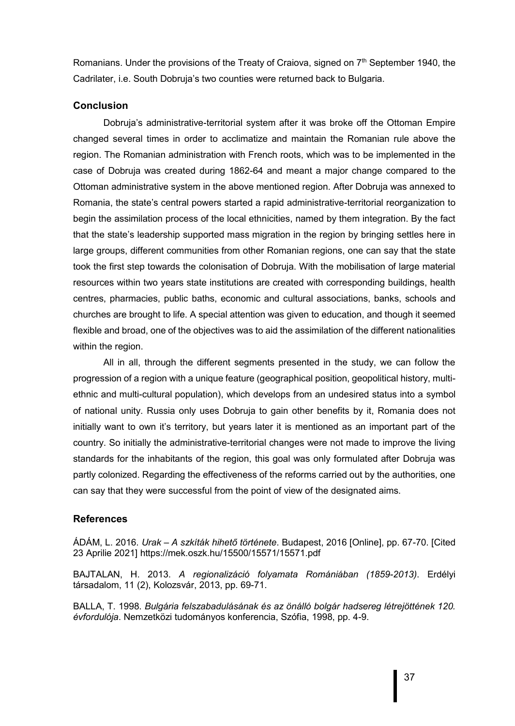Romanians. Under the provisions of the Treaty of Craiova, signed on 7<sup>th</sup> September 1940, the Cadrilater, i.e. South Dobruja's two counties were returned back to Bulgaria.

#### **Conclusion**

Dobruja's administrative-territorial system after it was broke off the Ottoman Empire changed several times in order to acclimatize and maintain the Romanian rule above the region. The Romanian administration with French roots, which was to be implemented in the case of Dobruja was created during 1862-64 and meant a major change compared to the Ottoman administrative system in the above mentioned region. After Dobruja was annexed to Romania, the state's central powers started a rapid administrative-territorial reorganization to begin the assimilation process of the local ethnicities, named by them integration. By the fact that the state's leadership supported mass migration in the region by bringing settles here in large groups, different communities from other Romanian regions, one can say that the state took the first step towards the colonisation of Dobruja. With the mobilisation of large material resources within two years state institutions are created with corresponding buildings, health centres, pharmacies, public baths, economic and cultural associations, banks, schools and churches are brought to life. A special attention was given to education, and though it seemed flexible and broad, one of the objectives was to aid the assimilation of the different nationalities within the region.

All in all, through the different segments presented in the study, we can follow the progression of a region with a unique feature (geographical position, geopolitical history, multiethnic and multi-cultural population), which develops from an undesired status into a symbol of national unity. Russia only uses Dobruja to gain other benefits by it, Romania does not initially want to own it's territory, but years later it is mentioned as an important part of the country. So initially the administrative-territorial changes were not made to improve the living standards for the inhabitants of the region, this goal was only formulated after Dobruja was partly colonized. Regarding the effectiveness of the reforms carried out by the authorities, one can say that they were successful from the point of view of the designated aims.

### **References**

ÁDÁM, L. 2016. *Urak – A szkíták hihető története*. Budapest, 2016 [Online], pp. 67-70. [Cited 23 Aprilie 2021] https://mek.oszk.hu/15500/15571/15571.pdf

BAJTALAN, H. 2013. *A regionalizáció folyamata Romániában (1859-2013)*. Erdélyi társadalom, 11 (2), Kolozsvár, 2013, pp. 69-71.

BALLA, T. 1998. *Bulgária felszabadulásának és az önálló bolgár hadsereg létrejöttének 120. évfordulója*. Nemzetközi tudományos konferencia, Szófia, 1998, pp. 4-9.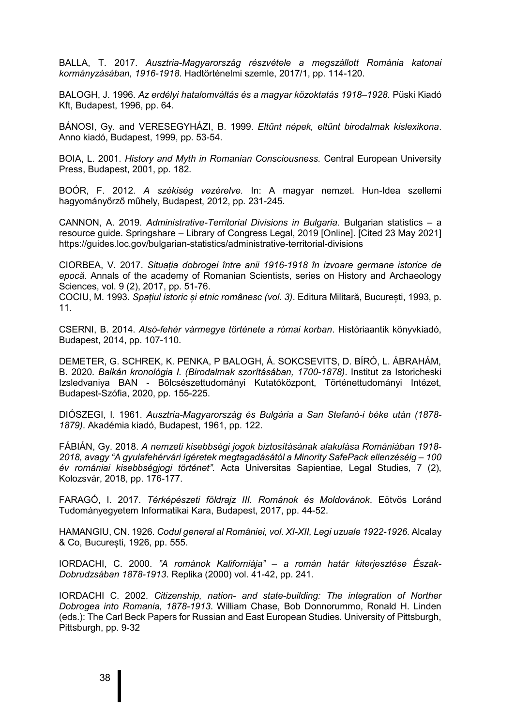BALLA, T. 2017. *Ausztria-Magyarország részvétele a megszállott Románia katonai kormányzásában, 1916-1918*. Hadtörténelmi szemle, 2017/1, pp. 114-120.

BALOGH, J. 1996. *Az erdélyi hatalomváltás és a magyar közoktatás 1918–1928.* Püski Kiadó Kft, Budapest, 1996, pp. 64.

BÁNOSI, Gy. and VERESEGYHÁZI, B. 1999. *Eltűnt népek, eltűnt birodalmak kislexikona*. Anno kiadó, Budapest, 1999, pp. 53-54.

BOIA, L. 2001. *History and Myth in Romanian Consciousness.* Central European University Press, Budapest, 2001, pp. 182.

BOÓR, F. 2012. *A székiség vezérelve.* In: A magyar nemzet. Hun-Idea szellemi hagyományőrző műhely, Budapest, 2012, pp. 231-245.

CANNON, A. 2019. *Administrative-Territorial Divisions in Bulgaria*. Bulgarian statistics – a resource guide. Springshare – Library of Congress Legal, 2019 [Online]. [Cited 23 May 2021] https://guides.loc.gov/bulgarian-statistics/administrative-territorial-divisions

CIORBEA, V. 2017. *Situația dobrogei între anii 1916-1918 în izvoare germane istorice de epocă*. Annals of the academy of Romanian Scientists, series on History and Archaeology Sciences, vol. 9 (2), 2017, pp. 51-76.

COCIU, M. 1993. *Spațiul istoric și etnic românesc (vol. 3)*. Editura Militară, București, 1993, p. 11.

CSERNI, B. 2014. *Alsó-fehér vármegye története a római korban*. Históriaantik könyvkiadó, Budapest, 2014, pp. 107-110.

DEMETER, G. SCHREK, K. PENKA, P BALOGH, Á. SOKCSEVITS, D. BÍRÓ, L. ÁBRAHÁM, B. 2020. *Balkán kronológia I. (Birodalmak szorításában, 1700-1878)*. Institut za Istoricheski Izsledvaniya BAN - Bölcsészettudományi Kutatóközpont, Történettudományi Intézet, Budapest-Szófia, 2020, pp. 155-225.

DIÓSZEGI, I. 1961. *Ausztria-Magyarország és Bulgária a San Stefanó-i béke után (1878- 1879)*. Akadémia kiadó, Budapest, 1961, pp. 122.

FÁBIÁN, Gy. 2018. *A nemzeti kisebbségi jogok biztosításának alakulása Romániában 1918- 2018, avagy "A gyulafehérvári ígéretek megtagadásától a Minority SafePack ellenzéséig – 100 év romániai kisebbségjogi történet"*. Acta Universitas Sapientiae, Legal Studies*,* 7 (2), Kolozsvár, 2018, pp. 176-177.

FARAGÓ, I. 2017. *Térképészeti földrajz III. Románok és Moldovánok*. Eötvös Loránd Tudományegyetem Informatikai Kara, Budapest, 2017, pp. 44-52.

HAMANGIU, CN. 1926. *Codul general al României, vol. XI-XII, Legi uzuale 1922-1926*. Alcalay & Co, București, 1926, pp. 555.

IORDACHI, C. 2000. *"A románok Kaliforniája" – a román határ kiterjesztése Észak-Dobrudzsában 1878-1913*. Replika (2000) vol. 41-42, pp. 241.

IORDACHI C. 2002. *Citizenship, nation- and state-building: The integration of Norther Dobrogea into Romania, 1878-1913*. William Chase, Bob Donnorummo, Ronald H. Linden (eds.): The Carl Beck Papers for Russian and East European Studies. University of Pittsburgh, Pittsburgh, pp. 9-32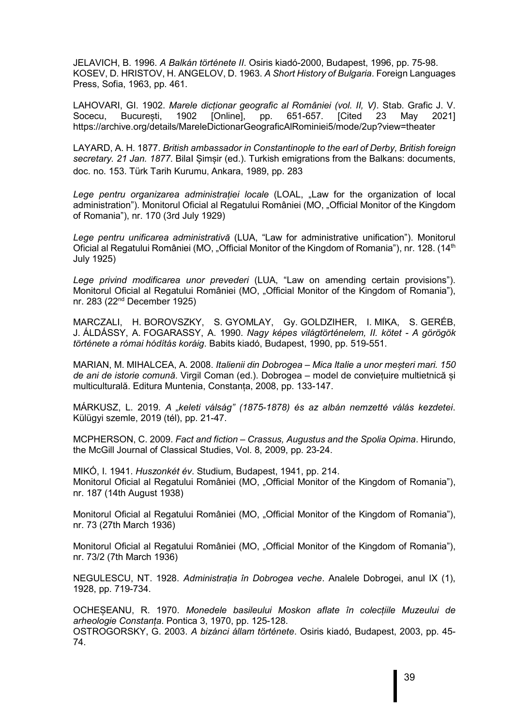JELAVICH, B. 1996. *A Balkán története II*. Osiris kiadó-2000, Budapest, 1996, pp. 75-98. KOSEV, D. HRISTOV, H. ANGELOV, D. 1963. *A Short History of Bulgaria*. Foreign Languages Press, Sofia, 1963, pp. 461.

LAHOVARI, GI. 1902. *Marele dicționar geografic al României (vol. II, V)*. Stab. Grafic J. V. Socecu, București, 1902 [Online], pp. 651-657. [Cited 23 May 2021] https://archive.org/details/MareleDictionarGeograficAlRominiei5/mode/2up?view=theater

LAYARD, A. H. 1877. *British ambassador in Constantinople to the earl of Derby, British foreign secretary. 21 Jan. 1877*. BilaI Șimșir (ed.). Turkish emigrations from the Balkans: documents, doc. no. 153. Türk Tarih Kurumu, Ankara, 1989, pp. 283

Lege pentru organizarea administratiei locale (LOAL, "Law for the organization of local administration"). Monitorul Oficial al Regatului României (MO, "Official Monitor of the Kingdom of Romania"), nr. 170 (3rd July 1929)

*Lege pentru unificarea administrativă* (LUA, "Law for administrative unification"). Monitorul Oficial al Regatului României (MO, "Official Monitor of the Kingdom of Romania"), nr. 128. (14<sup>th</sup> July 1925)

*Lege privind modificarea unor prevederi* (LUA, "Law on amending certain provisions"). Monitorul Oficial al Regatului României (MO, "Official Monitor of the Kingdom of Romania"), nr. 283 (22nd December 1925)

MARCZALI, H. BOROVSZKY, S. GYOMLAY, Gy. GOLDZIHER, I. MIKA, S. GERÉB, J. ÁLDÁSSY, A. FOGARASSY, A. 1990. *Nagy képes világtörténelem, II. kötet - A görögök története a római hódítás koráig*. Babits kiadó, Budapest, 1990, pp. 519-551.

MARIAN, M. MIHALCEA, A. 2008. *Italienii din Dobrogea – Mica Italie a unor meșteri mari. 150 de ani de istorie comună*. Virgil Coman (ed.). Dobrogea – model de conviețuire multietnică și multiculturală. Editura Muntenia, Constanța, 2008, pp. 133-147.

MÁRKUSZ, L. 2019. *A "keleti válság" (1875-1878) és az albán nemzetté válás kezdetei*. Külügyi szemle, 2019 (tél), pp. 21-47.

MCPHERSON, C. 2009. *Fact and fiction – Crassus, Augustus and the Spolia Opima*. Hirundo, the McGill Journal of Classical Studies, Vol. 8, 2009, pp. 23-24.

MIKÓ, I. 1941. *Huszonkét év*. Studium, Budapest, 1941, pp. 214. Monitorul Oficial al Regatului României (MO, "Official Monitor of the Kingdom of Romania"), nr. 187 (14th August 1938)

Monitorul Oficial al Regatului României (MO, "Official Monitor of the Kingdom of Romania"), nr. 73 (27th March 1936)

Monitorul Oficial al Regatului României (MO, "Official Monitor of the Kingdom of Romania"), nr. 73/2 (7th March 1936)

NEGULESCU, NT. 1928. *Administrația în Dobrogea veche*. Analele Dobrogei, anul IX (1), 1928, pp. 719-734.

OCHEȘEANU, R. 1970. *Monedele basileului Moskon aflate în colecțiile Muzeului de arheologie Constanța*. Pontica 3, 1970, pp. 125-128. OSTROGORSKY, G. 2003. *A bizánci állam története*. Osiris kiadó, Budapest, 2003, pp. 45- 74.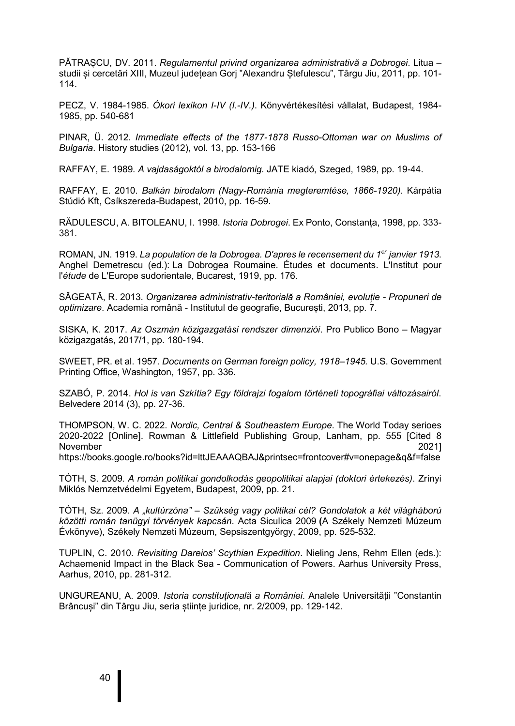PĂTRAȘCU, DV. 2011. *Regulamentul privind organizarea administrativă a Dobrogei*. Litua – studii și cercetări XIII, Muzeul județean Gorj "Alexandru Ștefulescu", Târgu Jiu, 2011, pp. 101- 114.

PECZ, V. 1984-1985. *Ókori lexikon I-IV (I.-IV.)*. Könyvértékesítési vállalat, Budapest, 1984- 1985, pp. 540-681

PINAR, Ü. 2012. *Immediate effects of the 1877-1878 Russo-Ottoman war on Muslims of Bulgaria*. History studies (2012), vol. 13, pp. 153-166

RAFFAY, E. 1989. *A vajdaságoktól a birodalomig*. JATE kiadó, Szeged, 1989, pp. 19-44.

RAFFAY, E. 2010. *Balkán birodalom (Nagy-Románia megteremtése, 1866-1920)*. Kárpátia Stúdió Kft, Csíkszereda-Budapest, 2010, pp. 16-59.

RĂDULESCU, A. BITOLEANU, I. 1998. *Istoria Dobrogei*. Ex Ponto, Constanța, 1998, pp. 333- 381.

ROMAN, JN. 1919. *La population de la Dobrogea. D'apres le recensement du 1er janvier 1913*. Anghel Demetrescu (ed.): La Dobrogea Roumaine. Études et documents. L'Institut pour l'*étude* de L'Europe sudorientale, Bucarest, 1919, pp. 176.

SĂGEATĂ, R. 2013. *Organizarea administrativ-teritorială a României, evoluție - Propuneri de optimizare*. Academia română - Institutul de geografie, București, 2013, pp. 7.

SISKA, K. 2017. *Az Oszmán közigazgatási rendszer dimenziói*. Pro Publico Bono – Magyar közigazgatás, 2017/1, pp. 180-194.

SWEET, PR. et al. 1957. *Documents on German foreign policy, 1918–1945.* U.S. Government Printing Office, Washington, 1957, pp. 336.

SZABÓ, P. 2014. *Hol is van Szkítia? Egy földrajzi fogalom történeti topográfiai változásairól*. Belvedere 2014 (3), pp. 27-36.

THOMPSON, W. C. 2022. *Nordic, Central & Southeastern Europe*. The World Today serioes 2020-2022 [Online]. Rowman & Littlefield Publishing Group, Lanham, pp. 555 [Cited 8 November 2021] https://books.google.ro/books?id=lttJEAAAQBAJ&printsec=frontcover#v=onepage&q&f=false

TÓTH, S. 2009. *A román politikai gondolkodás geopolitikai alapjai (doktori értekezés)*. Zrínyi Miklós Nemzetvédelmi Egyetem, Budapest, 2009, pp. 21.

TÓTH, Sz. 2009. *A "kultúrzóna" – Szükség vagy politikai cél? Gondolatok a két világháború közötti román tanügyi törvények kapcsán*. Acta Siculica 2009 **(**A Székely Nemzeti Múzeum Évkönyve), Székely Nemzeti Múzeum, Sepsiszentgyörgy, 2009, pp. 525-532.

TUPLIN, C. 2010. *Revisiting Dareios' Scythian Expedition*. Nieling Jens, Rehm Ellen (eds.): Achaemenid Impact in the Black Sea - Communication of Powers. Aarhus University Press, Aarhus, 2010, pp. 281-312.

UNGUREANU, A. 2009. *Istoria constituțională a României*. Analele Universității "Constantin Brâncusi" din Târgu Jiu, seria științe juridice, nr. 2/2009, pp. 129-142.